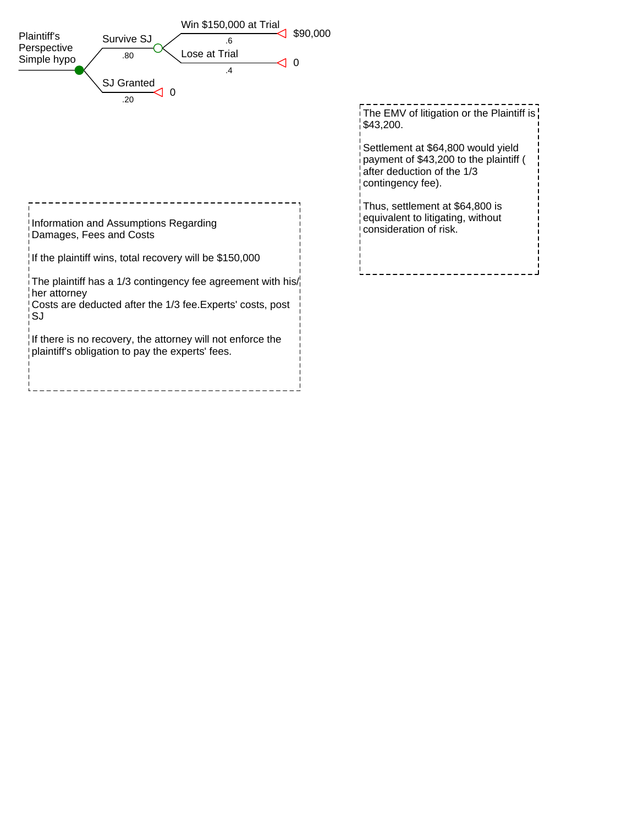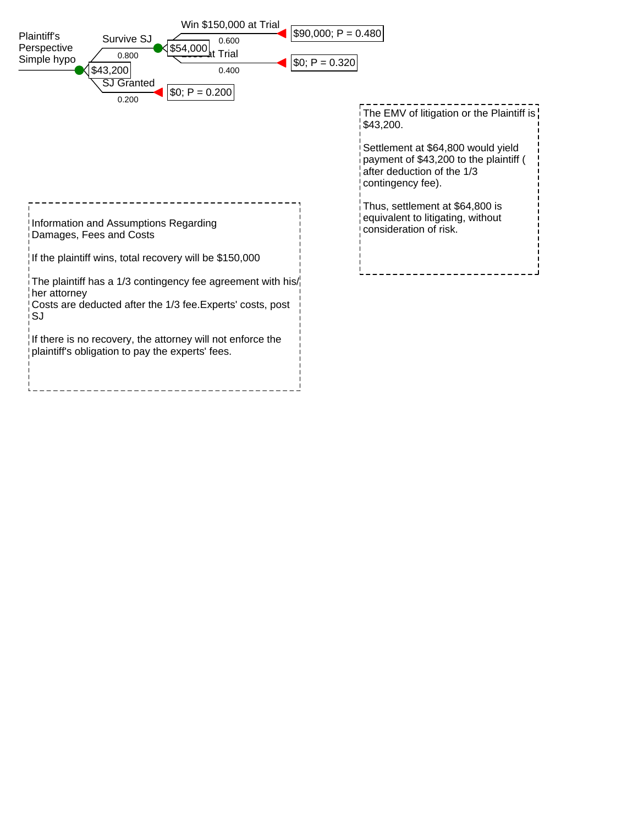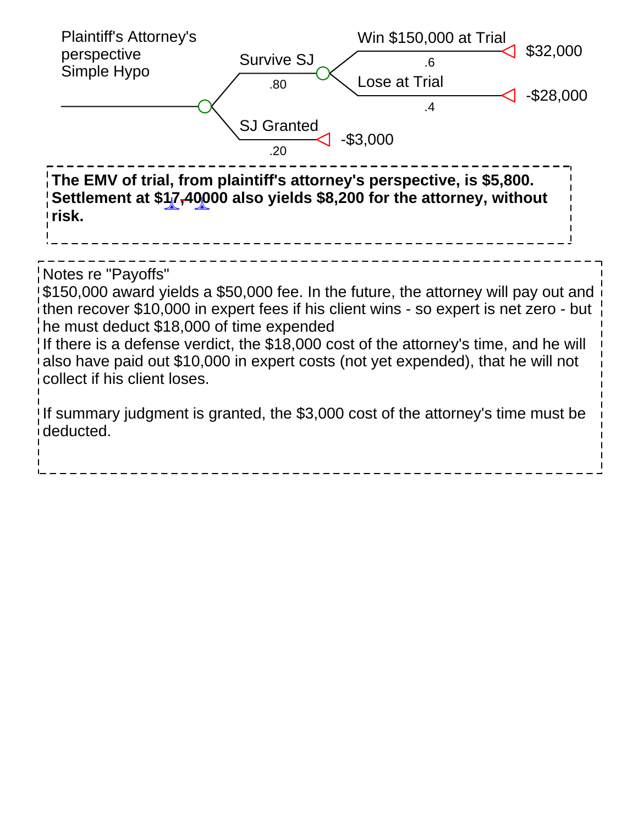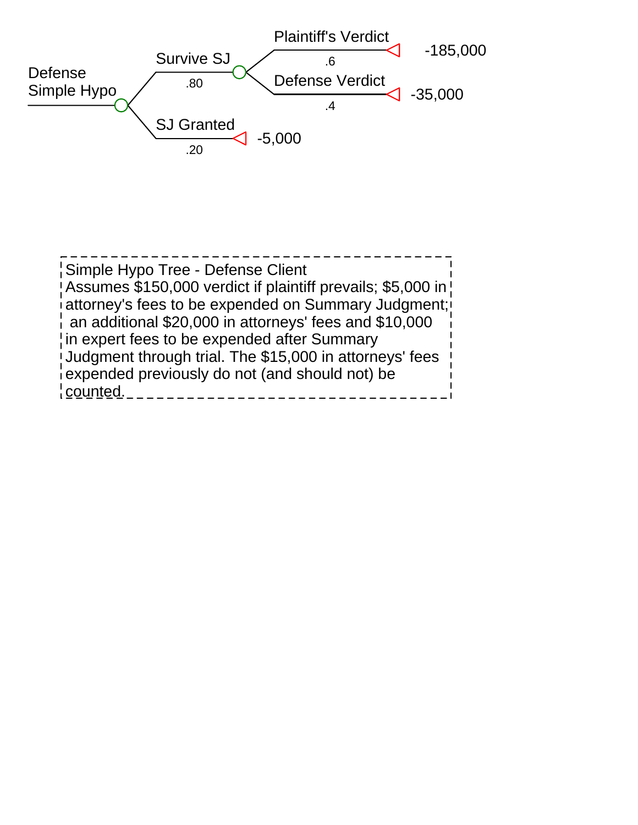

| Simple Hypo Tree - Defense Client                                    |
|----------------------------------------------------------------------|
| ! Assumes \$150,000 verdict if plaintiff prevails; \$5,000 in        |
| attorney's fees to be expended on Summary Judgment;                  |
| $\frac{1}{1}$ an additional \$20,000 in attorneys' fees and \$10,000 |
| in expert fees to be expended after Summary                          |
| Judgment through trial. The \$15,000 in attorneys' fees              |
| expended previously do not (and should not) be                       |
| counted.                                                             |
|                                                                      |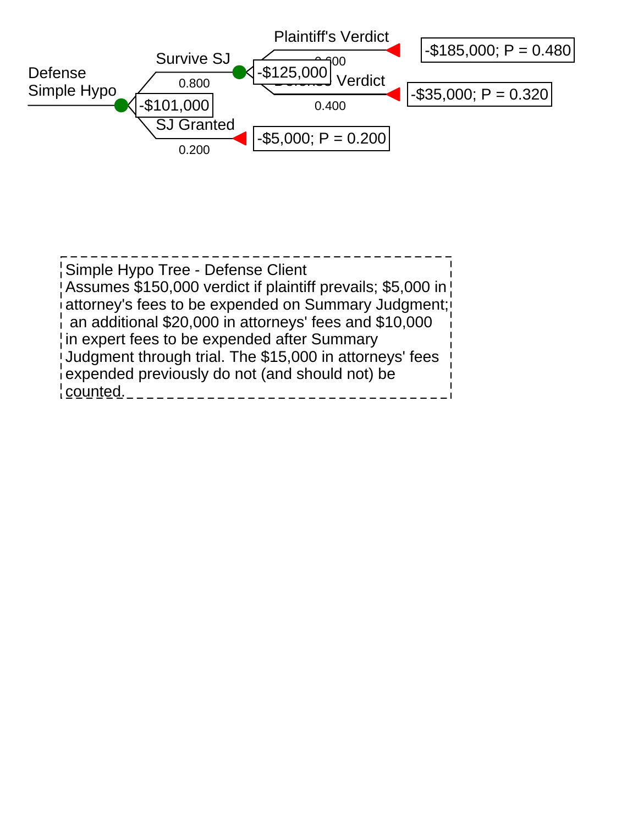

| Simple Hypo Tree - Defense Client                                    |
|----------------------------------------------------------------------|
| ! Assumes \$150,000 verdict if plaintiff prevails; \$5,000 in !      |
| attorney's fees to be expended on Summary Judgment;                  |
| $\frac{1}{1}$ an additional \$20,000 in attorneys' fees and \$10,000 |
| In expert fees to be expended after Summary                          |
| Judgment through trial. The \$15,000 in attorneys' fees              |
| expended previously do not (and should not) be                       |
| counted.                                                             |
|                                                                      |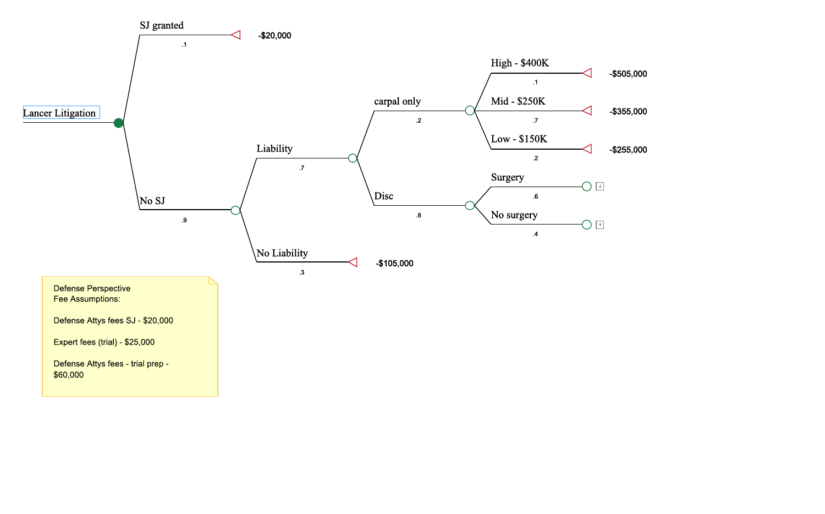